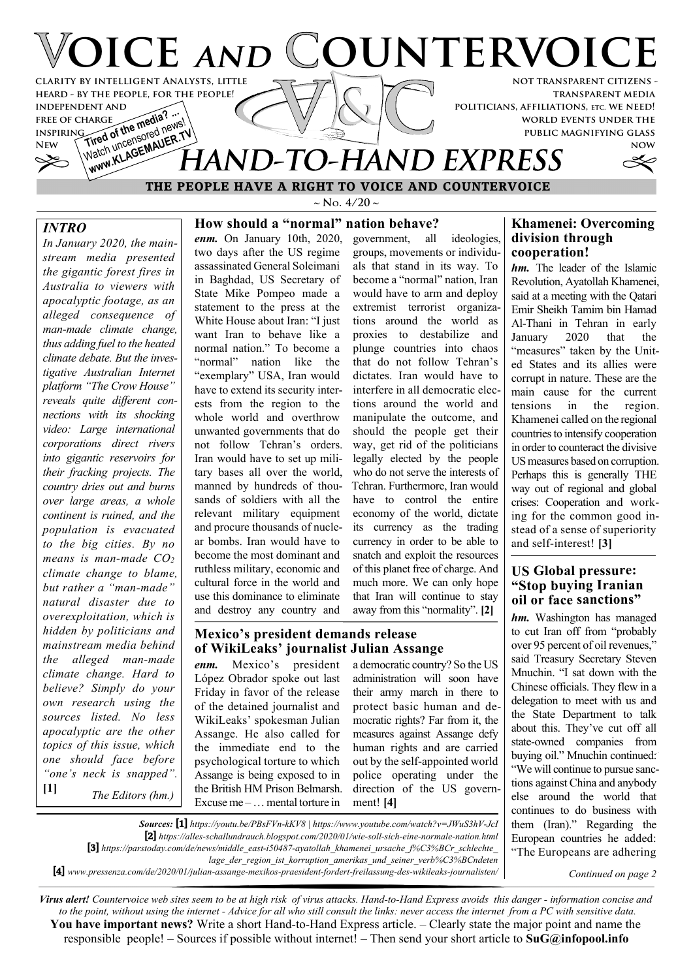

 **THE PEOPLE HAVE A RIGHT TO VOICE AND COUNTERVOICE**

# *INTRO*

*In January 2020, the mainstream media presented the gigantic forest fires in Australia to viewers with apocalyptic footage, as an alleged consequence of man-made climate change, thus adding fuel to the heated climate debate. But the investigative Australian Internet platform "The Crow House" reveals quite different connections with its shocking video: Large international corporations direct rivers into gigantic reservoirs for their fracking projects. The country dries out and burns over large areas, a whole continent is ruined, and the population is evacuated to the big cities. By no means is man-made CO<sup>2</sup> climate change to blame, but rather a "man-made" natural disaster due to overexploitation, which is hidden by politicians and mainstream media behind the alleged man-made climate change. Hard to believe? Simply do your own research using the sources listed. No less apocalyptic are the other topics of this issue, which one should face before "one's neck is snapped".* **[1]** *The Editors (hm.)*

 $\sim$  **N**<sub>o</sub>. 4/20  $\sim$ 

### **How should a "normal" nation behave?**

*enm.* On January 10th, 2020, two days after the US regime assassinated General Soleimani in Baghdad, US Secretary of State Mike Pompeo made a statement to the press at the White House about Iran: "I just want Iran to behave like a normal nation." To become a "normal" nation like the "exemplary" USA, Iran would have to extend its security interests from the region to the whole world and overthrow unwanted governments that do not follow Tehran's orders. Iran would have to set up military bases all over the world, manned by hundreds of thousands of soldiers with all the relevant military equipment and procure thousands of nuclear bombs. Iran would have to become the most dominant and ruthless military, economic and cultural force in the world and use this dominance to eliminate and destroy any country and

government, all ideologies, groups, movements or individuals that stand in its way. To become a "normal" nation, Iran would have to arm and deploy extremist terrorist organizations around the world as proxies to destabilize and plunge countries into chaos that do not follow Tehran's dictates. Iran would have to interfere in all democratic elections around the world and manipulate the outcome, and should the people get their way, get rid of the politicians legally elected by the people who do not serve the interests of Tehran. Furthermore, Iran would have to control the entire economy of the world, dictate its currency as the trading currency in order to be able to snatch and exploit the resources of this planet free of charge. And much more. We can only hope that Iran will continue to stay away from this "normality". **[2]**

#### **Mexico's president demands release of WikiLeaks' journalist Julian Assange**

*Sources:* **[1]** *https://youtu.be/PBsFVn-kKV8 | https://www.youtube.com/watch?v=JWuS3hV-JcI* **[2]** *https://alles-schallundrauch.blogspot.com/2020/01/wie-soll-sich-eine-normale-nation.html*

**[3]** *https://parstoday.com/de/news/middle\_east-i50487-ayatollah\_khamenei\_ursache\_f%C3%BCr\_schlechte\_*

**[4]** *www.pressenza.com/de/2020/01/julian-assange-mexikos-praesident-fordert-freilassung-des-wikileaks-journalisten/*

*enm.* Mexico's president López Obrador spoke out last Friday in favor of the release of the detained journalist and WikiLeaks' spokesman Julian Assange. He also called for the immediate end to the psychological torture to which Assange is being exposed to in the British HM Prison Belmarsh. Excuse me – … mental torture in

a democratic country? So the US administration will soon have their army march in there to protect basic human and democratic rights? Far from it, the measures against Assange defy human rights and are carried out by the self-appointed world police operating under the direction of the US government! **[4]**

# **Khamenei: Overcoming division through cooperation!**

*hm.* The leader of the Islamic Revolution, Ayatollah Khamenei, said at a meeting with the Qatari Emir Sheikh Tamim bin Hamad Al-Thani in Tehran in early January 2020 that the "measures" taken by the United States and its allies were corrupt in nature. These are the main cause for the current tensions in the region. Khamenei called on the regional countries to intensify cooperation in order to counteract the divisive US measures based on corruption. Perhaps this is generally THE way out of regional and global crises: Cooperation and working for the common good instead of a sense of superiority and self-interest! **[3]**

## **US Global pressure: "Stop buying Iranian oil or face sanctions"**

*hm.* Washington has managed to cut Iran off from "probably over 95 percent of oil revenues," said Treasury Secretary Steven Mnuchin. "I sat down with the Chinese officials. They flew in a delegation to meet with us and the State Department to talk about this. They've cut off all state-owned companies from buying oil." Mnuchin continued: "We will continue to pursue sanctions against China and anybody else around the world that continues to do business with them (Iran)." Regarding the European countries he added: "The Europeans are adhering

*Continued on page 2*

*Virus alert! Countervoice web sites seem to be at high risk of virus attacks. Hand-to-Hand Express avoids this danger - information concise and to the point, without using the internet - Advice for all who still consult the links: never access the internet from a PC with sensitive data.* **You have important news?** Write a short Hand-to-Hand Express article. – Clearly state the major point and name the responsible people! – Sources if possible without internet! – Then send your short article to **SuG@infopool.info**

*lage\_der\_region\_ist\_korruption\_amerikas\_und\_seiner\_verb%C3%BCndeten*